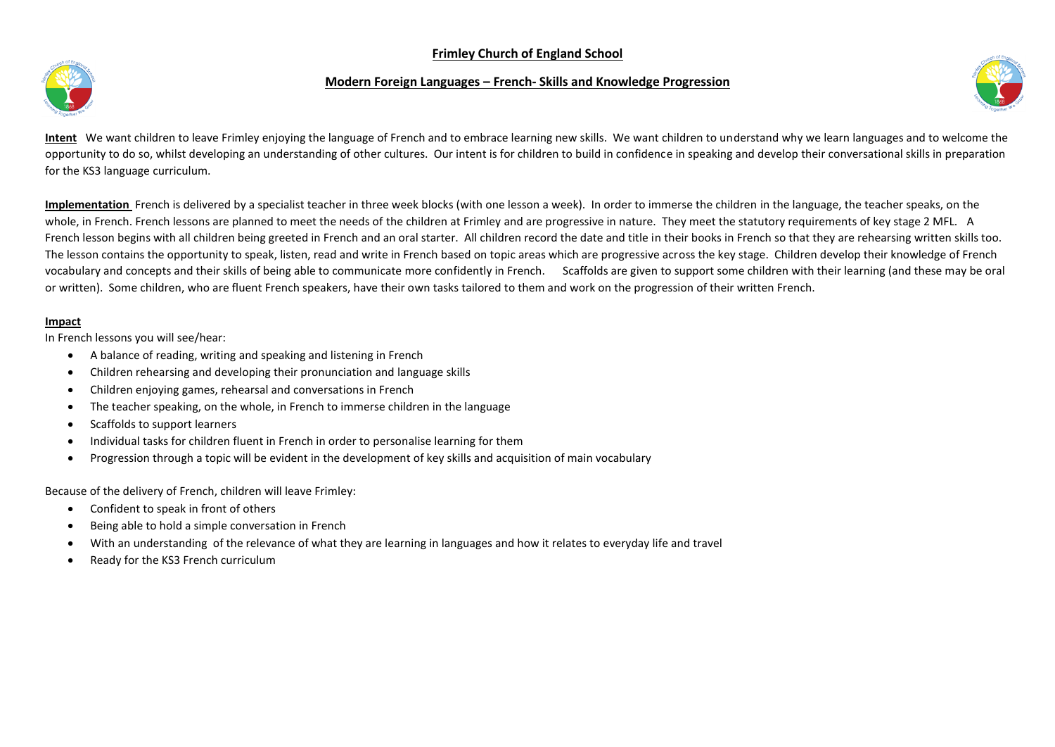# **Frimley Church of England School**



## **Modern Foreign Languages – French- Skills and Knowledge Progression**



**Intent** We want children to leave Frimley enjoying the language of French and to embrace learning new skills. We want children to understand why we learn languages and to welcome the opportunity to do so, whilst developing an understanding of other cultures. Our intent is for children to build in confidence in speaking and develop their conversational skills in preparation for the KS3 language curriculum.

**Implementation** French is delivered by a specialist teacher in three week blocks (with one lesson a week). In order to immerse the children in the language, the teacher speaks, on the whole, in French. French lessons are planned to meet the needs of the children at Frimley and are progressive in nature. They meet the statutory requirements of key stage 2 MFL. A French lesson begins with all children being greeted in French and an oral starter. All children record the date and title in their books in French so that they are rehearsing written skills too. The lesson contains the opportunity to speak, listen, read and write in French based on topic areas which are progressive across the key stage. Children develop their knowledge of French vocabulary and concepts and their skills of being able to communicate more confidently in French. Scaffolds are given to support some children with their learning (and these may be oral or written). Some children, who are fluent French speakers, have their own tasks tailored to them and work on the progression of their written French.

## **Impact**

In French lessons you will see/hear:

- A balance of reading, writing and speaking and listening in French
- Children rehearsing and developing their pronunciation and language skills
- Children enjoying games, rehearsal and conversations in French
- The teacher speaking, on the whole, in French to immerse children in the language
- Scaffolds to support learners
- Individual tasks for children fluent in French in order to personalise learning for them
- Progression through a topic will be evident in the development of key skills and acquisition of main vocabulary

Because of the delivery of French, children will leave Frimley:

- Confident to speak in front of others
- Being able to hold a simple conversation in French
- With an understanding of the relevance of what they are learning in languages and how it relates to everyday life and travel
- Ready for the KS3 French curriculum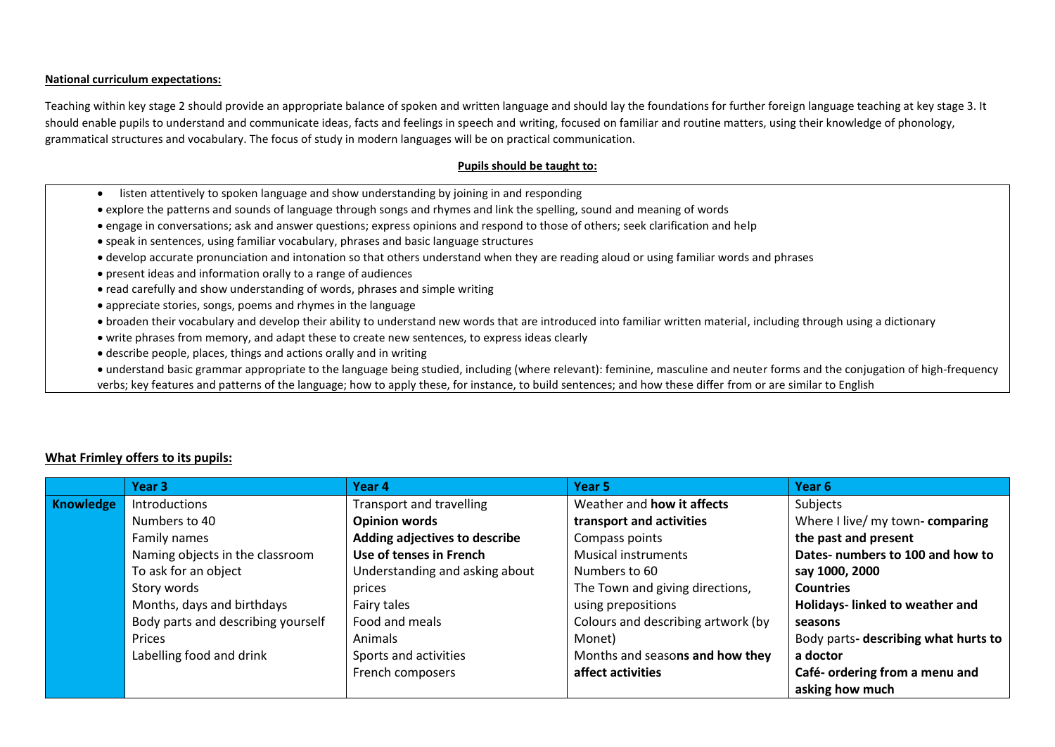#### **National curriculum expectations:**

Teaching within key stage 2 should provide an appropriate balance of spoken and written language and should lay the foundations for further foreign language teaching at key stage 3. It should enable pupils to understand and communicate ideas, facts and feelings in speech and writing, focused on familiar and routine matters, using their knowledge of phonology, grammatical structures and vocabulary. The focus of study in modern languages will be on practical communication.

#### **Pupils should be taught to:**

- listen attentively to spoken language and show understanding by joining in and responding
- explore the patterns and sounds of language through songs and rhymes and link the spelling, sound and meaning of words
- engage in conversations; ask and answer questions; express opinions and respond to those of others; seek clarification and help
- speak in sentences, using familiar vocabulary, phrases and basic language structures
- develop accurate pronunciation and intonation so that others understand when they are reading aloud or using familiar words and phrases
- present ideas and information orally to a range of audiences
- read carefully and show understanding of words, phrases and simple writing
- appreciate stories, songs, poems and rhymes in the language
- broaden their vocabulary and develop their ability to understand new words that are introduced into familiar written material, including through using a dictionary
- write phrases from memory, and adapt these to create new sentences, to express ideas clearly
- describe people, places, things and actions orally and in writing
- understand basic grammar appropriate to the language being studied, including (where relevant): feminine, masculine and neuter forms and the conjugation of high-frequency verbs; key features and patterns of the language; how to apply these, for instance, to build sentences; and how these differ from or are similar to English

|  | <b>What Frimley offers to its pupils:</b> |  |  |  |
|--|-------------------------------------------|--|--|--|
|--|-------------------------------------------|--|--|--|

|                  | Year 3                             | Year 4                         | Year 5                             | Year 6                               |
|------------------|------------------------------------|--------------------------------|------------------------------------|--------------------------------------|
| <b>Knowledge</b> | <b>Introductions</b>               | Transport and travelling       | Weather and <b>how it affects</b>  | Subjects                             |
|                  | Numbers to 40                      | <b>Opinion words</b>           | transport and activities           | Where I live/ my town- comparing     |
|                  | Family names                       | Adding adjectives to describe  | Compass points                     | the past and present                 |
|                  | Naming objects in the classroom    | Use of tenses in French        | <b>Musical instruments</b>         | Dates- numbers to 100 and how to     |
|                  | To ask for an object               | Understanding and asking about | Numbers to 60                      | say 1000, 2000                       |
|                  | Story words                        | prices                         | The Town and giving directions,    | <b>Countries</b>                     |
|                  | Months, days and birthdays         | Fairy tales                    | using prepositions                 | Holidays- linked to weather and      |
|                  | Body parts and describing yourself | Food and meals                 | Colours and describing artwork (by | seasons                              |
|                  | Prices                             | Animals                        | Monet)                             | Body parts- describing what hurts to |
|                  | Labelling food and drink           | Sports and activities          | Months and seasons and how they    | a doctor                             |
|                  |                                    | French composers               | affect activities                  | Café- ordering from a menu and       |
|                  |                                    |                                |                                    | asking how much                      |